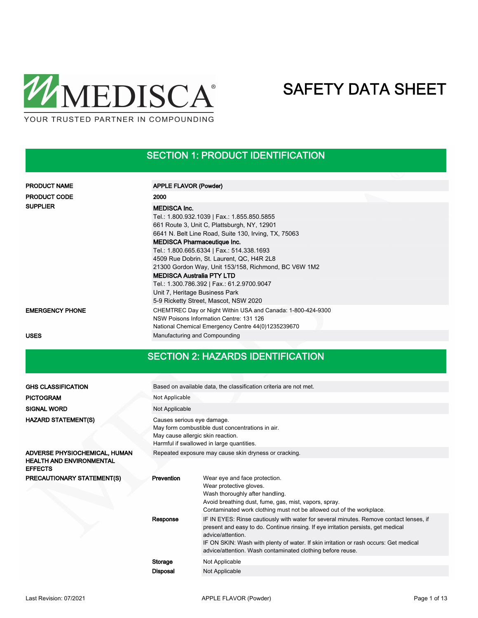

## SECTION 1: PRODUCT IDENTIFICATION

| <b>PRODUCT NAME</b>    | <b>APPLE FLAVOR (Powder)</b>                                                                                                                                                                                                                                                                              |  |
|------------------------|-----------------------------------------------------------------------------------------------------------------------------------------------------------------------------------------------------------------------------------------------------------------------------------------------------------|--|
|                        |                                                                                                                                                                                                                                                                                                           |  |
| <b>PRODUCT CODE</b>    | 2000                                                                                                                                                                                                                                                                                                      |  |
| <b>SUPPLIER</b>        | <b>MEDISCA Inc.</b><br>Tel.: 1.800.932.1039   Fax.: 1.855.850.5855<br>661 Route 3, Unit C, Plattsburgh, NY, 12901<br>6641 N. Belt Line Road, Suite 130, Irving, TX, 75063<br><b>MEDISCA Pharmaceutique Inc.</b><br>Tel.: 1.800.665.6334   Fax.: 514.338.1693<br>4509 Rue Dobrin, St. Laurent, QC, H4R 2L8 |  |
|                        | 21300 Gordon Way, Unit 153/158, Richmond, BC V6W 1M2<br><b>MEDISCA Australia PTY LTD</b><br>Tel.: 1.300.786.392   Fax.: 61.2.9700.9047<br>Unit 7, Heritage Business Park<br>5-9 Ricketty Street, Mascot, NSW 2020                                                                                         |  |
| <b>EMERGENCY PHONE</b> | CHEMTREC Day or Night Within USA and Canada: 1-800-424-9300<br>NSW Poisons Information Centre: 131 126<br>National Chemical Emergency Centre 44(0)1235239670                                                                                                                                              |  |

USES **USES** Manufacturing and Compounding

## SECTION 2: HAZARDS IDENTIFICATION

| <b>GHS CLASSIFICATION</b>                         |                                                                                                                                                                  | Based on available data, the classification criteria are not met.                                                                                                                                                                                                                                                                                       |  |  |  |  |  |
|---------------------------------------------------|------------------------------------------------------------------------------------------------------------------------------------------------------------------|---------------------------------------------------------------------------------------------------------------------------------------------------------------------------------------------------------------------------------------------------------------------------------------------------------------------------------------------------------|--|--|--|--|--|
| <b>PICTOGRAM</b>                                  | Not Applicable                                                                                                                                                   |                                                                                                                                                                                                                                                                                                                                                         |  |  |  |  |  |
| <b>SIGNAL WORD</b>                                | Not Applicable                                                                                                                                                   |                                                                                                                                                                                                                                                                                                                                                         |  |  |  |  |  |
| <b>HAZARD STATEMENT(S)</b>                        | Causes serious eye damage.<br>May form combustible dust concentrations in air.<br>May cause allergic skin reaction.<br>Harmful if swallowed in large quantities. |                                                                                                                                                                                                                                                                                                                                                         |  |  |  |  |  |
| ADVERSE PHYSIOCHEMICAL, HUMAN                     |                                                                                                                                                                  | Repeated exposure may cause skin dryness or cracking.                                                                                                                                                                                                                                                                                                   |  |  |  |  |  |
| <b>HEALTH AND ENVIRONMENTAL</b><br><b>EFFECTS</b> |                                                                                                                                                                  |                                                                                                                                                                                                                                                                                                                                                         |  |  |  |  |  |
| PRECAUTIONARY STATEMENT(S)                        | Prevention                                                                                                                                                       | Wear eye and face protection.<br>Wear protective gloves.<br>Wash thoroughly after handling.<br>Avoid breathing dust, fume, gas, mist, vapors, spray.<br>Contaminated work clothing must not be allowed out of the workplace.                                                                                                                            |  |  |  |  |  |
|                                                   | Response                                                                                                                                                         | IF IN EYES: Rinse cautiously with water for several minutes. Remove contact lenses, if<br>present and easy to do. Continue rinsing. If eye irritation persists, get medical<br>advice/attention.<br>IF ON SKIN: Wash with plenty of water. If skin irritation or rash occurs: Get medical<br>advice/attention. Wash contaminated clothing before reuse. |  |  |  |  |  |
|                                                   | Storage                                                                                                                                                          | Not Applicable                                                                                                                                                                                                                                                                                                                                          |  |  |  |  |  |
|                                                   | <b>Disposal</b>                                                                                                                                                  | Not Applicable                                                                                                                                                                                                                                                                                                                                          |  |  |  |  |  |
|                                                   |                                                                                                                                                                  |                                                                                                                                                                                                                                                                                                                                                         |  |  |  |  |  |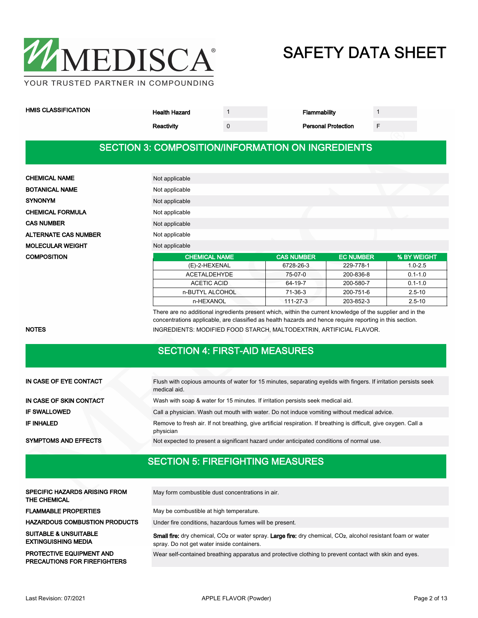

| <b>HMIS CLASSIFICATION</b> | Health Hazard |  | ammabilitv |  |
|----------------------------|---------------|--|------------|--|
|----------------------------|---------------|--|------------|--|

| mability |  |
|----------|--|
|----------|--|

Reactivity 0 0 0 Personal Protection F

### SECTION 3: COMPOSITION/INFORMATION ON INGREDIENTS

| <b>CHEMICAL NAME</b>        | Not applicable       |                   |                  |             |
|-----------------------------|----------------------|-------------------|------------------|-------------|
| <b>BOTANICAL NAME</b>       | Not applicable       |                   |                  |             |
| <b>SYNONYM</b>              | Not applicable       |                   |                  |             |
| <b>CHEMICAL FORMULA</b>     | Not applicable       |                   |                  |             |
| <b>CAS NUMBER</b>           | Not applicable       |                   |                  |             |
| <b>ALTERNATE CAS NUMBER</b> | Not applicable       |                   |                  |             |
| <b>MOLECULAR WEIGHT</b>     | Not applicable       |                   |                  |             |
| <b>COMPOSITION</b>          | <b>CHEMICAL NAME</b> | <b>CAS NUMBER</b> | <b>EC NUMBER</b> | % BY WEIGHT |
|                             | (E)-2-HEXENAL        | 6728-26-3         | 229-778-1        | $1.0 - 2.5$ |
|                             | <b>ACETALDEHYDE</b>  | 75-07-0           | 200-836-8        | $0.1 - 1.0$ |

There are no additional ingredients present which, within the current knowledge of the supplier and in the concentrations applicable, are classified as health hazards and hence require reporting in this section. NOTES **INGREDIENTS: MODIFIED FOOD STARCH, MALTODEXTRIN, ARTIFICIAL FLAVOR.** 

ACETIC ACID 64-19-7 200-580-7 0.1-1.0 n-BUTYL ALCOHOL 71-36-3 200-751-6 2.5-10 n-HEXANOL 111-27-3 203-852-3 2.5-10

### SECTION 4: FIRST-AID MEASURES

| IN CASE OF EYE CONTACT      | Flush with copious amounts of water for 15 minutes, separating eyelids with fingers. If irritation persists seek<br>medical aid. |  |  |  |
|-----------------------------|----------------------------------------------------------------------------------------------------------------------------------|--|--|--|
| IN CASE OF SKIN CONTACT     | Wash with soap & water for 15 minutes. If irritation persists seek medical aid.                                                  |  |  |  |
| <b>IF SWALLOWED</b>         | Call a physician. Wash out mouth with water. Do not induce vomiting without medical advice.                                      |  |  |  |
| <b>IF INHALED</b>           | Remove to fresh air. If not breathing, give artificial respiration. If breathing is difficult, give oxygen. Call a<br>physician  |  |  |  |
| <b>SYMPTOMS AND EFFECTS</b> | Not expected to present a significant hazard under anticipated conditions of normal use.                                         |  |  |  |

## SECTION 5: FIREFIGHTING MEASURES

| <b>SPECIFIC HAZARDS ARISING FROM</b><br><b>THE CHEMICAL</b>            | May form combustible dust concentrations in air.                                                                                                                                    |
|------------------------------------------------------------------------|-------------------------------------------------------------------------------------------------------------------------------------------------------------------------------------|
| <b>FLAMMABLE PROPERTIES</b>                                            | May be combustible at high temperature.                                                                                                                                             |
| <b>HAZARDOUS COMBUSTION PRODUCTS</b>                                   | Under fire conditions, hazardous fumes will be present.                                                                                                                             |
| <b>SUITABLE &amp; UNSUITABLE</b><br><b>EXTINGUISHING MEDIA</b>         | Small fire: dry chemical, CO <sub>2</sub> or water spray. Large fire: dry chemical, CO <sub>2</sub> , alcohol resistant foam or water<br>spray. Do not get water inside containers. |
| <b>PROTECTIVE EQUIPMENT AND</b><br><b>PRECAUTIONS FOR FIREFIGHTERS</b> | Wear self-contained breathing apparatus and protective clothing to prevent contact with skin and eyes.                                                                              |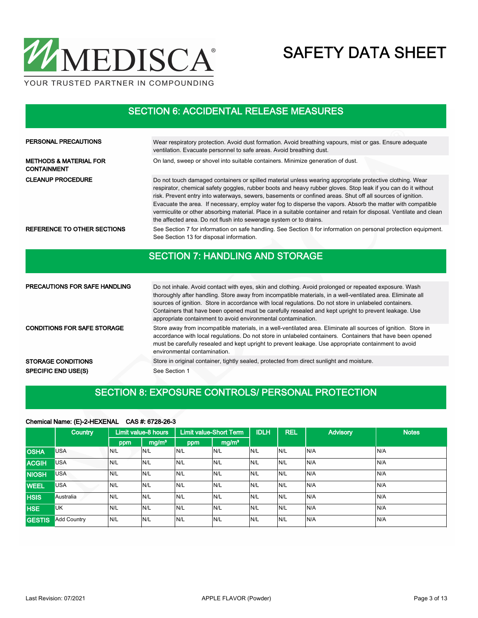

### SECTION 6: ACCIDENTAL RELEASE MEASURES

| PERSONAL PRECAUTIONS                                    | Wear respiratory protection. Avoid dust formation. Avoid breathing vapours, mist or gas. Ensure adequate<br>ventilation. Evacuate personnel to safe areas. Avoid breathing dust.                                                                                                                                                                                                                                                                                                                                                                                                                                                                    |
|---------------------------------------------------------|-----------------------------------------------------------------------------------------------------------------------------------------------------------------------------------------------------------------------------------------------------------------------------------------------------------------------------------------------------------------------------------------------------------------------------------------------------------------------------------------------------------------------------------------------------------------------------------------------------------------------------------------------------|
| <b>METHODS &amp; MATERIAL FOR</b><br><b>CONTAINMENT</b> | On land, sweep or shovel into suitable containers. Minimize generation of dust.                                                                                                                                                                                                                                                                                                                                                                                                                                                                                                                                                                     |
| <b>CLEANUP PROCEDURE</b>                                | Do not touch damaged containers or spilled material unless wearing appropriate protective clothing. Wear<br>respirator, chemical safety goggles, rubber boots and heavy rubber gloves. Stop leak if you can do it without<br>risk. Prevent entry into waterways, sewers, basements or confined areas. Shut off all sources of ignition.<br>Evacuate the area. If necessary, employ water fog to disperse the vapors. Absorb the matter with compatible<br>vermiculite or other absorbing material. Place in a suitable container and retain for disposal. Ventilate and clean<br>the affected area. Do not flush into sewerage system or to drains. |
| REFERENCE TO OTHER SECTIONS                             | See Section 7 for information on safe handling. See Section 8 for information on personal protection equipment.<br>See Section 13 for disposal information.                                                                                                                                                                                                                                                                                                                                                                                                                                                                                         |

### SECTION 7: HANDLING AND STORAGE

| <b>PRECAUTIONS FOR SAFE HANDLING</b> | Do not inhale. Avoid contact with eyes, skin and clothing. Avoid prolonged or repeated exposure. Wash<br>thoroughly after handling. Store away from incompatible materials, in a well-ventilated area. Eliminate all<br>sources of ignition. Store in accordance with local regulations. Do not store in unlabeled containers.<br>Containers that have been opened must be carefully resealed and kept upright to prevent leakage. Use<br>appropriate containment to avoid environmental contamination. |
|--------------------------------------|---------------------------------------------------------------------------------------------------------------------------------------------------------------------------------------------------------------------------------------------------------------------------------------------------------------------------------------------------------------------------------------------------------------------------------------------------------------------------------------------------------|
| <b>CONDITIONS FOR SAFE STORAGE</b>   | Store away from incompatible materials, in a well-ventilated area. Eliminate all sources of ignition. Store in<br>accordance with local regulations. Do not store in unlabeled containers. Containers that have been opened<br>must be carefully resealed and kept upright to prevent leakage. Use appropriate containment to avoid<br>environmental contamination.                                                                                                                                     |
| <b>STORAGE CONDITIONS</b>            | Store in original container, tightly sealed, protected from direct sunlight and moisture.                                                                                                                                                                                                                                                                                                                                                                                                               |
| <b>SPECIFIC END USE(S)</b>           | See Section 1                                                                                                                                                                                                                                                                                                                                                                                                                                                                                           |

### SECTION 8: EXPOSURE CONTROLS/ PERSONAL PROTECTION

### $mg/m<sup>3</sup>$  ppm | mg/m<sup>3</sup> Limit value-8 hours | Limit value-Short Term | IDLH | REL | Advisory | Notes ppm **Country** OSHA USA N/L N/L N/L N/L N/L N/L N/A N/A ACGIH USA N/L N/L N/L N/L N/L N/L N/A N/A NIOSH USA N/L N/L N/L N/L N/L N/L N/A N/A WEEL USA N/L N/L N/L N/L N/L N/L N/A N/A HSIS Australia N/L N/L N/L N/L N/L N/L N/A N/A HSE UK N/L N/L N/L N/L N/L N/L N/A N/A GESTIS Add Country N/L N/L N/L N/L N/L N/L N/L N/A N/A N/A

### Chemical Name: (E)-2-HEXENAL CAS #: 6728-26-3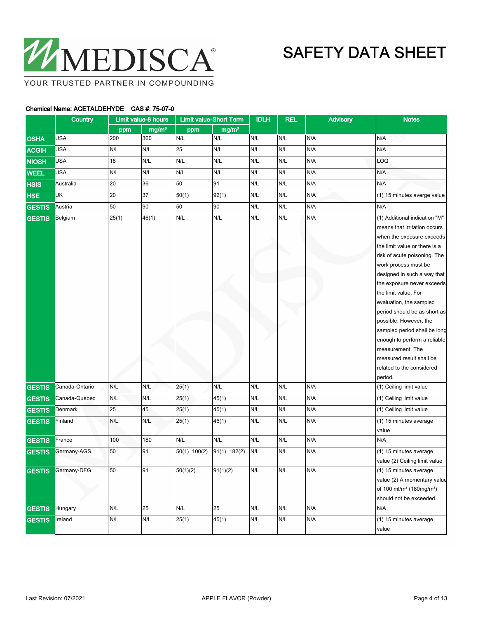

## Chemical Name: ACETALDEHYDE CAS #: 75-07-0

|               | Country        |       | Limit value-8 hours     |              | <b>Limit value-Short Term</b> | <b>IDLH</b> | <b>REL</b> | <b>Advisory</b> | <b>Notes</b>                                                                                                                                                                                                                                                                                                                                                                                                                                                                                                          |
|---------------|----------------|-------|-------------------------|--------------|-------------------------------|-------------|------------|-----------------|-----------------------------------------------------------------------------------------------------------------------------------------------------------------------------------------------------------------------------------------------------------------------------------------------------------------------------------------------------------------------------------------------------------------------------------------------------------------------------------------------------------------------|
|               |                | ppm   | mg/m <sup>3</sup>       | ppm          | mg/m <sup>3</sup>             |             |            |                 |                                                                                                                                                                                                                                                                                                                                                                                                                                                                                                                       |
| <b>OSHA</b>   | <b>USA</b>     | 200   | 360                     | N/L          | N/L                           | N/L         | N/L        | N/A             | N/A                                                                                                                                                                                                                                                                                                                                                                                                                                                                                                                   |
| <b>ACGIH</b>  | <b>USA</b>     | N/L   | N/L                     | 25           | N/L                           | N/L         | N/L        | N/A             | N/A                                                                                                                                                                                                                                                                                                                                                                                                                                                                                                                   |
| <b>NIOSH</b>  | <b>USA</b>     | 18    | N/L                     | N/L          | N/L                           | N/L         | N/L        | N/A             | LOQ                                                                                                                                                                                                                                                                                                                                                                                                                                                                                                                   |
| <b>WEEL</b>   | <b>USA</b>     | N/L   | N/L                     | N/L          | N/L                           | N/L         | N/L        | N/A             | N/A                                                                                                                                                                                                                                                                                                                                                                                                                                                                                                                   |
| <b>HSIS</b>   | Australia      | 20    | 36                      | 50           | 91                            | N/L         | N/L        | N/A             | N/A                                                                                                                                                                                                                                                                                                                                                                                                                                                                                                                   |
| <b>HSE</b>    | <b>UK</b>      | 20    | 37                      | 50(1)        | 92(1)                         | N/L         | N/L        | N/A             | (1) 15 minutes averge value                                                                                                                                                                                                                                                                                                                                                                                                                                                                                           |
| <b>GESTIS</b> | Austria        | 50    | 90                      | 50           | 90                            | N/L         | N/L        | N/A             | N/A                                                                                                                                                                                                                                                                                                                                                                                                                                                                                                                   |
| <b>GESTIS</b> | Belgium        | 25(1) | 46(1)                   | N/L          | N/L                           | N/L         | N/L        | N/A             | (1) Additional indication "M"<br>means that irritation occurs<br>when the exposure exceeds<br>the limit value or there is a<br>risk of acute poisoning. The<br>work process must be<br>designed in such a way that<br>the exposure never exceeds<br>the limit value. For<br>evaluation, the sampled<br>period should be as short as<br>possible. However, the<br>sampled period shall be long<br>enough to perform a reliable<br>measurement. The<br>measured result shall be<br>related to the considered<br>period. |
| <b>GESTIS</b> | Canada-Ontario | N/L   | N/L                     | 25(1)        | N/L                           | N/L         | N/L        | N/A             | (1) Ceiling limit value                                                                                                                                                                                                                                                                                                                                                                                                                                                                                               |
| <b>GESTIS</b> | Canada-Quebec  | N/L   | N/L                     | 25(1)        | 45(1)                         | N/L         | N/L        | N/A             | (1) Ceiling limit value                                                                                                                                                                                                                                                                                                                                                                                                                                                                                               |
| <b>GESTIS</b> | Denmark        | 25    | 45                      | 25(1)        | 45(1)                         | N/L         | N/L        | N/A             | (1) Ceiling limit value                                                                                                                                                                                                                                                                                                                                                                                                                                                                                               |
| <b>GESTIS</b> | Finland        | N/L   | N/L                     | 25(1)        | 46(1)                         | N/L         | N/L        | N/A             | (1) 15 minutes average<br>value                                                                                                                                                                                                                                                                                                                                                                                                                                                                                       |
| <b>GESTIS</b> | France         | 100   | 180                     | N/L          | N/L                           | N/L         | N/L        | N/A             | N/A                                                                                                                                                                                                                                                                                                                                                                                                                                                                                                                   |
| <b>GESTIS</b> | Germany-AGS    | 50    | 91                      | 50(1) 100(2) | 91(1) 182(2)                  | N/L         | N/L        | N/A             | (1) 15 minutes average<br>value (2) Ceiling limit value                                                                                                                                                                                                                                                                                                                                                                                                                                                               |
| <b>GESTIS</b> | Germany-DFG    | 50    | 91                      | 50(1)(2)     | 91(1)(2)                      | N/L         | N/L        | N/A             | (1) 15 minutes average<br>value (2) A momentary value<br>of 100 ml/m <sup>3</sup> (180mg/m <sup>3</sup> )<br>should not be exceeded.                                                                                                                                                                                                                                                                                                                                                                                  |
| <b>GESTIS</b> | Hungary        | N/L   | 25                      | N/L          | 25                            | N/L         | N/L        | N/A             | N/A                                                                                                                                                                                                                                                                                                                                                                                                                                                                                                                   |
| <b>GESTIS</b> | Ireland        | N/L   | $\mathsf{N}/\mathsf{L}$ | 25(1)        | 45(1)                         | N/L         | N/L        | N/A             | (1) 15 minutes average<br>value                                                                                                                                                                                                                                                                                                                                                                                                                                                                                       |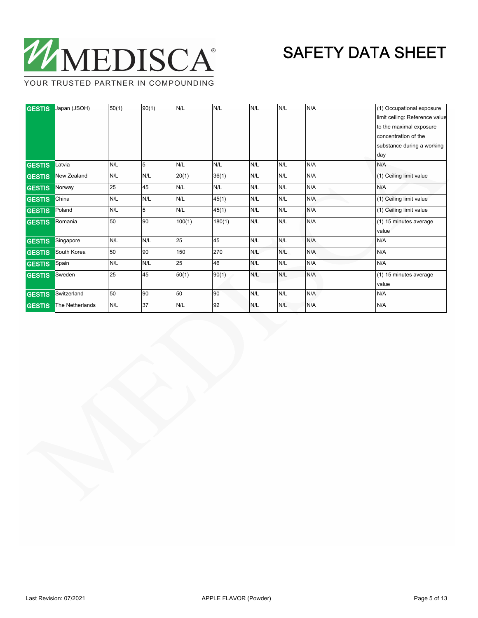

YOUR TRUSTED PARTNER IN COMPOUNDING

| <b>GESTIS</b> | Japan (JSOH)    | 50(1) | 90(1) | N/L    | N/L    | N/L | N/L | N/A | (1) Occupational exposure      |
|---------------|-----------------|-------|-------|--------|--------|-----|-----|-----|--------------------------------|
|               |                 |       |       |        |        |     |     |     | limit ceiling: Reference value |
|               |                 |       |       |        |        |     |     |     | to the maximal exposure        |
|               |                 |       |       |        |        |     |     |     | concentration of the           |
|               |                 |       |       |        |        |     |     |     | substance during a working     |
|               |                 |       |       |        |        |     |     |     | day                            |
| <b>GESTIS</b> | Latvia          | N/L   | 5     | N/L    | N/L    | N/L | N/L | N/A | N/A                            |
| <b>GESTIS</b> | New Zealand     | N/L   | N/L   | 20(1)  | 36(1)  | N/L | N/L | N/A | (1) Ceiling limit value        |
| <b>GESTIS</b> | Norway          | 25    | 45    | N/L    | N/L    | N/L | N/L | N/A | N/A                            |
| <b>GESTIS</b> | China           | N/L   | N/L   | N/L    | 45(1)  | N/L | N/L | N/A | (1) Ceiling limit value        |
| <b>GESTIS</b> | Poland          | N/L   | 5     | N/L    | 45(1)  | N/L | N/L | N/A | (1) Ceiling limit value        |
| <b>GESTIS</b> | Romania         | 50    | 90    | 100(1) | 180(1) | N/L | N/L | N/A | (1) 15 minutes average         |
|               |                 |       |       |        |        |     |     |     | value                          |
| <b>GESTIS</b> | Singapore       | N/L   | N/L   | 25     | 45     | N/L | N/L | N/A | N/A                            |
| <b>GESTIS</b> | South Korea     | 50    | 90    | 150    | 270    | N/L | N/L | N/A | N/A                            |
| <b>GESTIS</b> | Spain           | N/L   | N/L   | 25     | 46     | N/L | N/L | N/A | N/A                            |
| <b>GESTIS</b> | Sweden          | 25    | 45    | 50(1)  | 90(1)  | N/L | N/L | N/A | (1) 15 minutes average         |
|               |                 |       |       |        |        |     |     |     | value                          |
| <b>GESTIS</b> | Switzerland     | 50    | 90    | 50     | 90     | N/L | N/L | N/A | N/A                            |
| <b>GESTIS</b> | The Netherlands | N/L   | 37    | N/L    | 92     | N/L | N/L | N/A | N/A                            |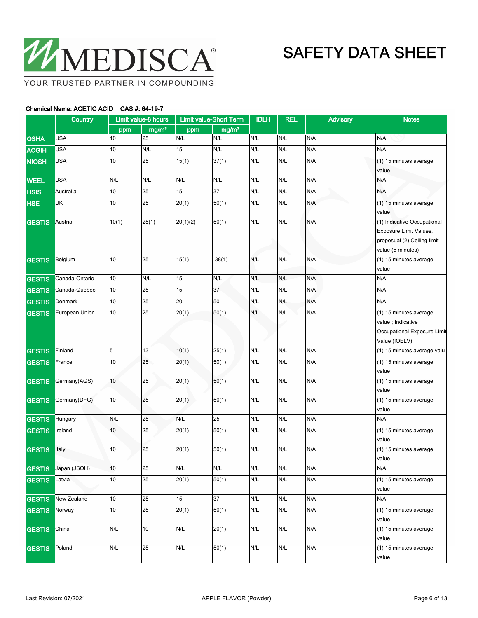

### Chemical Name: ACETIC ACID CAS #: 64-19-7

|               | <b>Country</b> |        | Limit value-8 hours |          | <b>Limit value-Short Term</b> | <b>IDLH</b> | <b>REL</b> | <b>Advisory</b> | <b>Notes</b>                                                                                              |
|---------------|----------------|--------|---------------------|----------|-------------------------------|-------------|------------|-----------------|-----------------------------------------------------------------------------------------------------------|
|               |                | ppm    | mg/m <sup>3</sup>   | ppm      | mg/m <sup>3</sup>             |             |            |                 |                                                                                                           |
| <b>OSHA</b>   | <b>USA</b>     | 10     | 25                  | N/L      | N/L                           | N/L         | N/L        | N/A             | N/A                                                                                                       |
| <b>ACGIH</b>  | <b>USA</b>     | 10     | N/L                 | 15       | N/L                           | N/L         | N/L        | N/A             | N/A                                                                                                       |
| <b>NIOSH</b>  | <b>USA</b>     | 10     | 25                  | 15(1)    | 37(1)                         | N/L         | N/L        | N/A             | (1) 15 minutes average<br>value                                                                           |
| <b>WEEL</b>   | <b>USA</b>     | N/L    | N/L                 | N/L      | N/L                           | N/L         | N/L        | N/A             | N/A                                                                                                       |
| <b>HSIS</b>   | Australia      | 10     | 25                  | 15       | 37                            | N/L         | N/L        | N/A             | N/A                                                                                                       |
| <b>HSE</b>    | <b>UK</b>      | 10     | 25                  | 20(1)    | 50(1)                         | N/L         | N/L        | N/A             | (1) 15 minutes average<br>value                                                                           |
| <b>GESTIS</b> | Austria        | 10(1)  | 25(1)               | 20(1)(2) | 50(1)                         | N/L         | N/L        | N/A             | (1) Indicative Occupational<br>Exposure Limit Values,<br>proposual (2) Ceiling limit<br>value (5 minutes) |
| <b>GESTIS</b> | Belgium        | 10     | 25                  | 15(1)    | 38(1)                         | N/L         | N/L        | N/A             | (1) 15 minutes average                                                                                    |
|               |                |        |                     |          |                               |             |            |                 | value                                                                                                     |
| <b>GESTIS</b> | Canada-Ontario | 10     | N/L                 | 15       | N/L                           | N/L         | N/L        | N/A             | N/A                                                                                                       |
| <b>GESTIS</b> | Canada-Quebec  | 10     | 25                  | 15       | 37                            | N/L         | N/L        | N/A             | N/A                                                                                                       |
| <b>GESTIS</b> | Denmark        | 10     | 25                  | 20       | 50                            | N/L         | N/L        | N/A             | N/A                                                                                                       |
| <b>GESTIS</b> | European Union | 10     | 25                  | 20(1)    | $\overline{50(1)}$            | N/L         | N/L        | N/A             | (1) 15 minutes average<br>value ; Indicative<br>Occupational Exposure Limit<br>Value (IOELV)              |
| <b>GESTIS</b> | Finland        | 5      | 13                  | 10(1)    | 25(1)                         | N/L         | N/L        | N/A             | (1) 15 minutes average valu                                                                               |
| <b>GESTIS</b> | France         | $10$   | 25                  | 20(1)    | 50(1)                         | N/L         | N/L        | N/A             | (1) 15 minutes average<br>value                                                                           |
| <b>GESTIS</b> | Germany(AGS)   | 10     | 25                  | 20(1)    | 50(1)                         | N/L         | N/L        | N/A             | (1) 15 minutes average<br>value                                                                           |
| <b>GESTIS</b> | Germany(DFG)   | 10     | 25                  | 20(1)    | 50(1)                         | N/L         | N/L        | N/A             | (1) 15 minutes average<br>value                                                                           |
| <b>GESTIS</b> | Hungary        | N/L    | 25                  | N/L      | 25                            | N/L         | N/L        | N/A             | N/A                                                                                                       |
| <b>GESTIS</b> | Ireland        | 10     | 25                  | 20(1)    | 50(1)                         | N/L         | N/L        | N/A             | (1) 15 minutes average<br>value                                                                           |
| <b>GESTIS</b> | Italy          | 10     | 25                  | 20(1)    | 50(1)                         | N/L         | N/L        | N/A             | (1) 15 minutes average<br>value                                                                           |
| <b>GESTIS</b> | Japan (JSOH)   | 10     | 25                  | N/L      | N/L                           | N/L         | N/L        | N/A             | N/A                                                                                                       |
| <b>GESTIS</b> | Latvia         | 10     | 25                  | 20(1)    | 50(1)                         | N/L         | N/L        | N/A             | (1) 15 minutes average<br>value                                                                           |
| <b>GESTIS</b> | New Zealand    | 10     | 25                  | 15       | 37                            | N/L         | N/L        | N/A             | N/A                                                                                                       |
| <b>GESTIS</b> | Norway         | $10\,$ | 25                  | 20(1)    | $\sqrt{50(1)}$                | N/L         | N/L        | N/A             | (1) 15 minutes average<br>value                                                                           |
| <b>GESTIS</b> | China          | N/L    | 10                  | N/L      | 20(1)                         | N/L         | N/L        | N/A             | (1) 15 minutes average<br>value                                                                           |
| <b>GESTIS</b> | Poland         | N/L    | 25                  | N/L      | 50(1)                         | N/L         | N/L        | N/A             | (1) 15 minutes average<br>value                                                                           |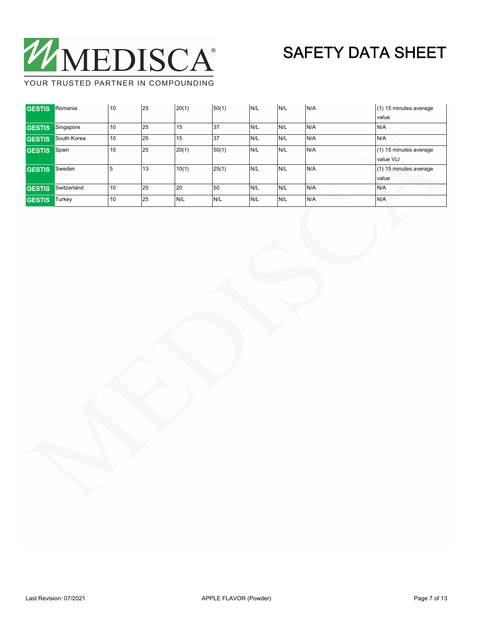

YOUR TRUSTED PARTNER IN COMPOUNDING

| <b>GESTIS</b> | Romania     | 10  | 25    | 20(1) | 50(1) | N/L  | IN/L | N/A | (1) 15 minutes average   |
|---------------|-------------|-----|-------|-------|-------|------|------|-----|--------------------------|
|               |             |     |       |       |       |      |      |     | <i>value</i>             |
| <b>GESTIS</b> | Singapore   | 10  | 25    | 15    | 37    | IN/L | N/L  | N/A | N/A                      |
| <b>GESTIS</b> | South Korea | 10  | 25    | 15    | 37    | N/L  | N/L  | N/A | N/A                      |
| <b>GESTIS</b> | Spain       | 10  | 25    | 20(1) | 50(1) | N/L  | N/L  | N/A | (1) 15 minutes average   |
|               |             |     |       |       |       |      |      |     | value VLI                |
| <b>GESTIS</b> | Sweden      | . 5 | ี่ 13 | 10(1) | 25(1) | N/L  | IN/L | N/A | $(1)$ 15 minutes average |
|               |             |     |       |       |       |      |      |     | value                    |
| <b>GESTIS</b> | Switzerland | 10  | 25    | 20    | 50    | N/L  | N/L  | N/A | N/A                      |
|               |             |     |       |       |       |      |      |     |                          |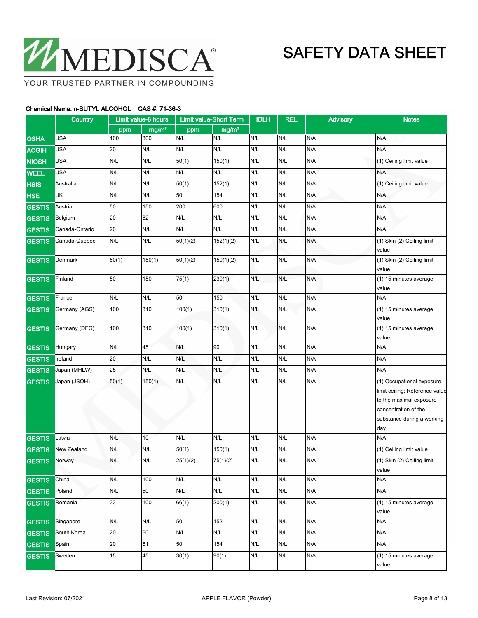

|               | Country        |        | Limit value-8 hours | <b>Limit value-Short Term</b> |                   | <b>IDLH</b> | <b>REL</b> | <b>Advisory</b> | <b>Notes</b>                                                                                                                                        |
|---------------|----------------|--------|---------------------|-------------------------------|-------------------|-------------|------------|-----------------|-----------------------------------------------------------------------------------------------------------------------------------------------------|
|               |                | ppm    | mg/m <sup>3</sup>   | ppm                           | mg/m <sup>3</sup> |             |            |                 |                                                                                                                                                     |
| <b>OSHA</b>   | <b>USA</b>     | 100    | 300                 | N/L                           | N/L               | N/L         | N/L        | N/A             | N/A                                                                                                                                                 |
| <b>ACGIH</b>  | <b>USA</b>     | 20     | N/L                 | N/L                           | N/L               | N/L         | N/L        | N/A             | N/A                                                                                                                                                 |
| <b>NIOSH</b>  | <b>USA</b>     | N/L    | N/L                 | 50(1)                         | 150(1)            | N/L         | N/L        | N/A             | (1) Ceiling limit value                                                                                                                             |
| <b>WEEL</b>   | <b>USA</b>     | N/L    | N/L                 | N/L                           | N/L               | N/L         | N/L        | N/A             | N/A                                                                                                                                                 |
| <b>HSIS</b>   | Australia      | N/L    | N/L                 | 50(1)                         | 152(1)            | N/L         | N/L        | N/A             | (1) Ceiling limit value                                                                                                                             |
| <b>HSE</b>    | UK             | N/L    | N/L                 | 50                            | 154               | N/L         | N/L        | N/A             | N/A                                                                                                                                                 |
| <b>GESTIS</b> | Austria        | 50     | 150                 | 200                           | 600               | N/L         | N/L        | N/A             | N/A                                                                                                                                                 |
| <b>GESTIS</b> | Belgium        | 20     | 62                  | N/L                           | N/L               | N/L         | N/L        | N/A             | N/A                                                                                                                                                 |
| <b>GESTIS</b> | Canada-Ontario | 20     | N/L                 | N/L                           | N/L               | N/L         | N/L        | N/A             | N/A                                                                                                                                                 |
| <b>GESTIS</b> | Canada-Quebec  | N/L    | N/L                 | 50(1)(2)                      | 152(1)(2)         | N/L         | N/L        | N/A             | (1) Skin (2) Ceiling limit                                                                                                                          |
|               |                |        |                     |                               |                   |             |            |                 | value                                                                                                                                               |
| <b>GESTIS</b> | Denmark        | 50(1)  | 150(1)              | 50(1)(2)                      | 150(1)(2)         | N/L         | N/L        | N/A             | (1) Skin (2) Ceiling limit                                                                                                                          |
|               |                |        |                     |                               |                   |             |            |                 | value                                                                                                                                               |
| <b>GESTIS</b> | Finland        | 50     | 150                 | 75(1)                         | 230(1)            | N/L         | N/L        | N/A             | (1) 15 minutes average                                                                                                                              |
|               | France         | N/L    | N/L                 | 50                            | 150               | N/L         | N/L        | N/A             | value<br>N/A                                                                                                                                        |
| <b>GESTIS</b> |                |        |                     |                               |                   |             |            |                 |                                                                                                                                                     |
| <b>GESTIS</b> | Germany (AGS)  | 100    | 310                 | 100(1)                        | 310(1)            | N/L         | N/L        | N/A             | (1) 15 minutes average<br>value                                                                                                                     |
| <b>GESTIS</b> | Germany (DFG)  | 100    | 310                 | 100(1)                        | 310(1)            | N/L         | N/L        | N/A             | (1) 15 minutes average<br>value                                                                                                                     |
| <b>GESTIS</b> | Hungary        | N/L    | 45                  | N/L                           | 90                | N/L         | N/L        | N/A             | N/A                                                                                                                                                 |
| <b>GESTIS</b> | Ireland        | 20     | N/L                 | N/L                           | N/L               | N/L         | N/L        | N/A             | N/A                                                                                                                                                 |
| <b>GESTIS</b> | Japan (MHLW)   | 25     | N/L                 | N/L                           | N/L               | N/L         | N/L        | N/A             | N/A                                                                                                                                                 |
| <b>GESTIS</b> | Japan (JSOH)   | 50(1)  | 150(1)              | N/L                           | N/L               | N/L         | N/L        | N/A             | (1) Occupational exposure<br>limit ceiling: Reference value<br>to the maximal exposure<br>concentration of the<br>substance during a working<br>day |
| <b>GESTIS</b> | Latvia         | N/L    | 10                  | N/L                           | N/L               | N/L         | N/L        | N/A             | N/A                                                                                                                                                 |
| <b>GESTIS</b> | New Zealand    | N/L    | N/L                 | 50(1)                         | 150(1)            | N/L         | N/L        | N/A             | (1) Ceiling limit value                                                                                                                             |
| <b>GESTIS</b> | Norway         | N/L    | N/L                 | 25(1)(2)                      | 75(1)(2)          | N/L         | N/L        | N/A             | (1) Skin (2) Ceiling limit<br>value                                                                                                                 |
| <b>GESTIS</b> | China          | N/L    | 100                 | N/L                           | N/L               | N/L         | N/L        | N/A             | $\mathsf{N}/\mathsf{A}$                                                                                                                             |
| <b>GESTIS</b> | Poland         | N/L    | 50                  | N/L                           | N/L               | N/L         | N/L        | N/A             | N/A                                                                                                                                                 |
| <b>GESTIS</b> | Romania        | 33     | 100                 | 66(1)                         | 200(1)            | N/L         | N/L        | N/A             | (1) 15 minutes average                                                                                                                              |
|               |                |        |                     |                               |                   |             |            |                 | value                                                                                                                                               |
| <b>GESTIS</b> | Singapore      | N/L    | N/L                 | 50                            | 152               | N/L         | N/L        | N/A             | N/A                                                                                                                                                 |
| <b>GESTIS</b> | South Korea    | $20\,$ | 60                  | N/L                           | N/L               | N/L         | N/L        | N/A             | N/A                                                                                                                                                 |
| <b>GESTIS</b> | Spain          | 20     | 61                  | 50                            | 154               | N/L         | N/L        | N/A             | N/A                                                                                                                                                 |
| <b>GESTIS</b> | Sweden         | 15     | 45                  | 30(1)                         | 90(1)             | N/L         | N/L        | N/A             | (1) 15 minutes average<br>value                                                                                                                     |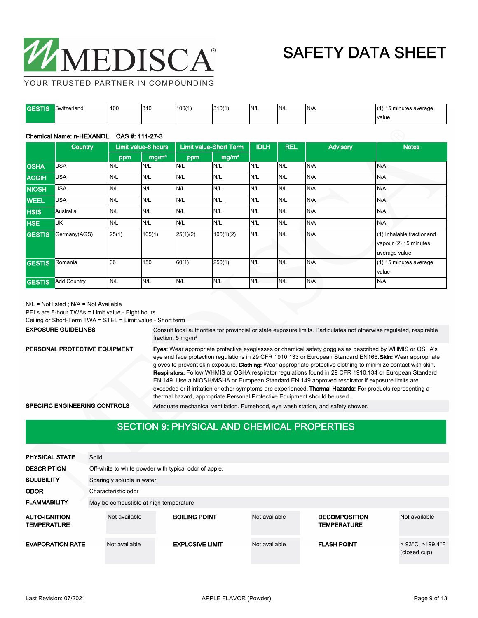

YOUR TRUSTED PARTNER IN COMPOUNDING

| <b>GESTIS</b> | Switzerland | 100 | 310 | 100(1) | 310(1) | N/L | N/L | N/A | 15 minutes average |
|---------------|-------------|-----|-----|--------|--------|-----|-----|-----|--------------------|
|               |             |     |     |        |        |     |     |     | l value<br>.       |

### Chemical Name: n-HEXANOL CAS #: 111-27-3

|               | Country            |       | Limit value-8 hours |          | <b>Limit value-Short Term</b> | <b>IDLH</b> | <b>REL</b> | <b>Advisory</b> | <b>Notes</b>                                                        |
|---------------|--------------------|-------|---------------------|----------|-------------------------------|-------------|------------|-----------------|---------------------------------------------------------------------|
|               |                    | ppm   | mg/m <sup>3</sup>   | ppm      | mg/m <sup>3</sup>             |             |            |                 |                                                                     |
| <b>OSHA</b>   | <b>USA</b>         | N/L   | N/L                 | N/L      | N/L                           | N/L         | N/L        | N/A             | N/A                                                                 |
| <b>ACGIH</b>  | <b>USA</b>         | N/L   | N/L                 | N/L      | N/L                           | N/L         | N/L        | N/A             | N/A                                                                 |
| <b>NIOSH</b>  | <b>USA</b>         | N/L   | N/L                 | N/L      | N/L                           | N/L         | N/L        | N/A             | N/A                                                                 |
| <b>WEEL</b>   | <b>USA</b>         | N/L   | N/L                 | N/L      | N/L                           | N/L         | N/L        | N/A             | N/A                                                                 |
| <b>HSIS</b>   | Australia          | N/L   | N/L                 | N/L      | N/L                           | N/L         | N/L        | N/A             | N/A                                                                 |
| <b>HSE</b>    | <b>UK</b>          | N/L   | N/L                 | N/L      | N/L                           | N/L         | N/L        | N/A             | N/A                                                                 |
| <b>GESTIS</b> | Germany(AGS)       | 25(1) | 105(1)              | 25(1)(2) | 105(1)(2)                     | N/L         | N/L        | N/A             | (1) Inhalable fractionand<br>vapour (2) 15 minutes<br>average value |
| <b>GESTIS</b> | Romania            | 36    | 150                 | 60(1)    | 250(1)                        | N/L         | N/L        | N/A             | (1) 15 minutes average<br>value                                     |
| <b>GESTIS</b> | <b>Add Country</b> | N/L   | N/L                 | N/L      | N/L                           | N/L         | N/L        | N/A             | N/A                                                                 |

N/L = Not listed ; N/A = Not Available

PELs are 8-hour TWAs = Limit value - Eight hours

Ceiling or Short-Term TWA = STEL = Limit value - Short term

EXPOSURE GUIDELINES

Consult local authorities for provincial or state exposure limits. Particulates not otherwise regulated, respirable fraction: 5 mg/m³

PERSONAL PROTECTIVE EQUIPMENT

Eyes: Wear appropriate protective eyeglasses or chemical safety goggles as described by WHMIS or OSHA's eye and face protection regulations in 29 CFR 1910.133 or European Standard EN166. Skin: Wear appropriate gloves to prevent skin exposure. Clothing: Wear appropriate protective clothing to minimize contact with skin. Respirators: Follow WHMIS or OSHA respirator regulations found in 29 CFR 1910.134 or European Standard EN 149. Use a NIOSH/MSHA or European Standard EN 149 approved respirator if exposure limits are exceeded or if irritation or other symptoms are experienced. Thermal Hazards: For products representing a thermal hazard, appropriate Personal Protective Equipment should be used.

SPECIFIC ENGINEERING CONTROLS Adequate mechanical ventilation. Fumehood, eye wash station, and safety shower.

## **SECTION 9: PHYSICAL AND CHEMICAL PROPERTIES**

| <b>PHYSICAL STATE</b>                      | Solid                                  |                                                       |                        |               |                                            |                                                     |  |  |  |
|--------------------------------------------|----------------------------------------|-------------------------------------------------------|------------------------|---------------|--------------------------------------------|-----------------------------------------------------|--|--|--|
| <b>DESCRIPTION</b>                         |                                        | Off-white to white powder with typical odor of apple. |                        |               |                                            |                                                     |  |  |  |
| <b>SOLUBILITY</b>                          |                                        | Sparingly soluble in water.                           |                        |               |                                            |                                                     |  |  |  |
| <b>ODOR</b>                                |                                        | Characteristic odor                                   |                        |               |                                            |                                                     |  |  |  |
| <b>FLAMMABILITY</b>                        | May be combustible at high temperature |                                                       |                        |               |                                            |                                                     |  |  |  |
| <b>AUTO-IGNITION</b><br><b>TEMPERATURE</b> |                                        | Not available                                         | <b>BOILING POINT</b>   | Not available | <b>DECOMPOSITION</b><br><b>TEMPERATURE</b> | Not available                                       |  |  |  |
| <b>EVAPORATION RATE</b>                    |                                        | Not available                                         | <b>EXPLOSIVE LIMIT</b> | Not available | <b>FLASH POINT</b>                         | $>93^{\circ}$ C, $>199.4^{\circ}$ F<br>(closed cup) |  |  |  |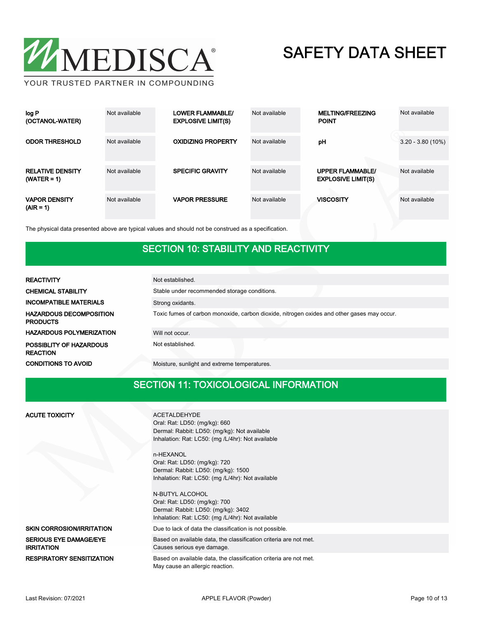

| log P<br>(OCTANOL-WATER)                 | Not available | <b>LOWER FLAMMABLE/</b><br><b>EXPLOSIVE LIMIT(S)</b> | Not available | <b>MELTING/FREEZING</b><br><b>POINT</b>              | Not available       |
|------------------------------------------|---------------|------------------------------------------------------|---------------|------------------------------------------------------|---------------------|
| <b>ODOR THRESHOLD</b>                    | Not available | <b>OXIDIZING PROPERTY</b>                            | Not available | pH                                                   | $3.20 - 3.80(10\%)$ |
| <b>RELATIVE DENSITY</b><br>$(WATER = 1)$ | Not available | <b>SPECIFIC GRAVITY</b>                              | Not available | <b>UPPER FLAMMABLE/</b><br><b>EXPLOSIVE LIMIT(S)</b> | Not available       |
| <b>VAPOR DENSITY</b><br>$(AIR = 1)$      | Not available | <b>VAPOR PRESSURE</b>                                | Not available | <b>VISCOSITY</b>                                     | Not available       |

The physical data presented above are typical values and should not be construed as a specification.

### SECTION 10: STABILITY AND REACTIVITY

| <b>REACTIVITY</b>                                 | Not established.                                                                           |  |  |  |  |  |  |
|---------------------------------------------------|--------------------------------------------------------------------------------------------|--|--|--|--|--|--|
| <b>CHEMICAL STABILITY</b>                         | Stable under recommended storage conditions.                                               |  |  |  |  |  |  |
| <b>INCOMPATIBLE MATERIALS</b>                     | Strong oxidants.                                                                           |  |  |  |  |  |  |
| <b>HAZARDOUS DECOMPOSITION</b><br><b>PRODUCTS</b> | Toxic fumes of carbon monoxide, carbon dioxide, nitrogen oxides and other gases may occur. |  |  |  |  |  |  |
| <b>HAZARDOUS POLYMERIZATION</b>                   | Will not occur.                                                                            |  |  |  |  |  |  |
| POSSIBLITY OF HAZARDOUS<br><b>REACTION</b>        | Not established.                                                                           |  |  |  |  |  |  |
| <b>CONDITIONS TO AVOID</b>                        | Moisture, sunlight and extreme temperatures.                                               |  |  |  |  |  |  |

### SECTION 11: TOXICOLOGICAL INFORMATION

| <b>ACUTE TOXICITY</b>                              | <b>ACETALDEHYDE</b><br>Oral: Rat: LD50: (mg/kg): 660<br>Dermal: Rabbit: LD50: (mg/kg): Not available<br>Inhalation: Rat: LC50: (mg /L/4hr): Not available<br>n-HEXANOL<br>Oral: Rat: LD50: (mg/kg): 720<br>Dermal: Rabbit: LD50: (mg/kg): 1500<br>Inhalation: Rat: LC50: (mg /L/4hr): Not available<br><b>N-BUTYL ALCOHOL</b><br>Oral: Rat: LD50: (mg/kg): 700<br>Dermal: Rabbit: LD50: (mg/kg): 3402 |
|----------------------------------------------------|-------------------------------------------------------------------------------------------------------------------------------------------------------------------------------------------------------------------------------------------------------------------------------------------------------------------------------------------------------------------------------------------------------|
|                                                    | Inhalation: Rat: LC50: (mg /L/4hr): Not available                                                                                                                                                                                                                                                                                                                                                     |
| <b>SKIN CORROSION/IRRITATION</b>                   | Due to lack of data the classification is not possible.                                                                                                                                                                                                                                                                                                                                               |
| <b>SERIOUS EYE DAMAGE/EYE</b><br><b>IRRITATION</b> | Based on available data, the classification criteria are not met.<br>Causes serious eye damage.                                                                                                                                                                                                                                                                                                       |
| <b>RESPIRATORY SENSITIZATION</b>                   | Based on available data, the classification criteria are not met.<br>May cause an allergic reaction.                                                                                                                                                                                                                                                                                                  |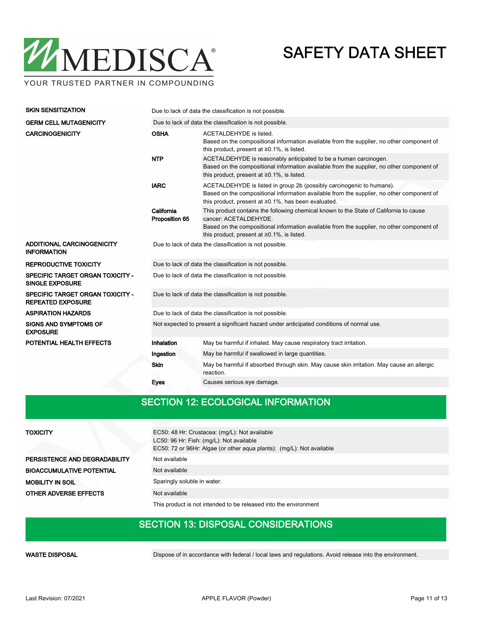

| <b>SKIN SENSITIZATION</b>                                         | Due to lack of data the classification is not possible.                                  |                                                                                                                                                                                                                                                                    |  |  |  |  |  |
|-------------------------------------------------------------------|------------------------------------------------------------------------------------------|--------------------------------------------------------------------------------------------------------------------------------------------------------------------------------------------------------------------------------------------------------------------|--|--|--|--|--|
| <b>GERM CELL MUTAGENICITY</b>                                     |                                                                                          | Due to lack of data the classification is not possible.                                                                                                                                                                                                            |  |  |  |  |  |
| <b>CARCINOGENICITY</b>                                            | <b>OSHA</b>                                                                              | ACETALDEHYDE is listed.<br>Based on the compositional information available from the supplier, no other component of<br>this product, present at $\geq 0.1\%$ , is listed.                                                                                         |  |  |  |  |  |
|                                                                   | <b>NTP</b>                                                                               | ACETALDEHYDE is reasonably anticipated to be a human carcinogen.<br>Based on the compositional information available from the supplier, no other component of<br>this product, present at $\geq 0.1\%$ , is listed.                                                |  |  |  |  |  |
|                                                                   | <b>IARC</b>                                                                              | ACETALDEHYDE is listed in group 2b (possibly carcinogenic to humans).<br>Based on the compositional information available from the supplier, no other component of<br>this product, present at ≥0.1%, has been evaluated.                                          |  |  |  |  |  |
|                                                                   | California<br>Proposition 65                                                             | This product contains the following chemical known to the State of California to cause<br>cancer: ACETALDEHYDE.<br>Based on the compositional information available from the supplier, no other component of<br>this product, present at $\geq 0.1\%$ , is listed. |  |  |  |  |  |
| ADDITIONAL CARCINOGENICITY<br><b>INFORMATION</b>                  | Due to lack of data the classification is not possible.                                  |                                                                                                                                                                                                                                                                    |  |  |  |  |  |
| <b>REPRODUCTIVE TOXICITY</b>                                      |                                                                                          | Due to lack of data the classification is not possible.                                                                                                                                                                                                            |  |  |  |  |  |
| <b>SPECIFIC TARGET ORGAN TOXICITY -</b><br><b>SINGLE EXPOSURE</b> |                                                                                          | Due to lack of data the classification is not possible.                                                                                                                                                                                                            |  |  |  |  |  |
| SPECIFIC TARGET ORGAN TOXICITY -<br><b>REPEATED EXPOSURE</b>      |                                                                                          | Due to lack of data the classification is not possible.                                                                                                                                                                                                            |  |  |  |  |  |
| <b>ASPIRATION HAZARDS</b>                                         |                                                                                          | Due to lack of data the classification is not possible.                                                                                                                                                                                                            |  |  |  |  |  |
| <b>SIGNS AND SYMPTOMS OF</b><br><b>EXPOSURE</b>                   | Not expected to present a significant hazard under anticipated conditions of normal use. |                                                                                                                                                                                                                                                                    |  |  |  |  |  |
| POTENTIAL HEALTH EFFECTS                                          | Inhalation                                                                               | May be harmful if inhaled. May cause respiratory tract irritation.                                                                                                                                                                                                 |  |  |  |  |  |
|                                                                   | Ingestion                                                                                | May be harmful if swallowed in large quantities.                                                                                                                                                                                                                   |  |  |  |  |  |
|                                                                   | <b>Skin</b>                                                                              | May be harmful if absorbed through skin. May cause skin irritation. May cause an allergic<br>reaction.                                                                                                                                                             |  |  |  |  |  |
|                                                                   | Eyes                                                                                     | Causes serious eye damage.                                                                                                                                                                                                                                         |  |  |  |  |  |

## SECTION 12: ECOLOGICAL INFORMATION

| <b>TOXICITY</b>                  | EC50: 48 Hr: Crustacea: (mg/L): Not available<br>LC50: 96 Hr: Fish: (mg/L): Not available<br>EC50: 72 or 96Hr: Algae (or other aqua plants): (mg/L): Not available |  |  |  |  |  |
|----------------------------------|--------------------------------------------------------------------------------------------------------------------------------------------------------------------|--|--|--|--|--|
| PERSISTENCE AND DEGRADABILITY    | Not available                                                                                                                                                      |  |  |  |  |  |
| <b>BIOACCUMULATIVE POTENTIAL</b> | Not available                                                                                                                                                      |  |  |  |  |  |
| <b>MOBILITY IN SOIL</b>          | Sparingly soluble in water.                                                                                                                                        |  |  |  |  |  |
| <b>OTHER ADVERSE EFFECTS</b>     | Not available                                                                                                                                                      |  |  |  |  |  |
|                                  | This product is not intended to be released into the environment                                                                                                   |  |  |  |  |  |

### SECTION 13: DISPOSAL CONSIDERATIONS

WASTE DISPOSAL **Dispose of in accordance with federal / local laws and regulations**. Avoid release into the environment.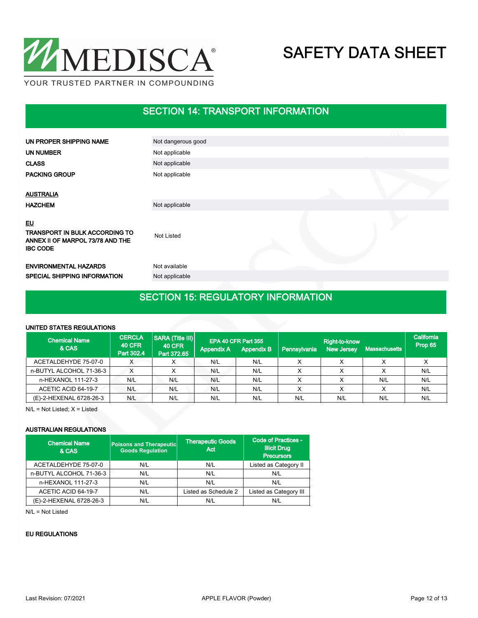

## SECTION 14: TRANSPORT INFORMATION

| UN PROPER SHIPPING NAME                                                                            | Not dangerous good |  |  |
|----------------------------------------------------------------------------------------------------|--------------------|--|--|
| UN NUMBER                                                                                          | Not applicable     |  |  |
| <b>CLASS</b>                                                                                       | Not applicable     |  |  |
| <b>PACKING GROUP</b>                                                                               | Not applicable     |  |  |
| <b>AUSTRALIA</b>                                                                                   |                    |  |  |
| <b>HAZCHEM</b>                                                                                     | Not applicable     |  |  |
| <b>EU</b><br>TRANSPORT IN BULK ACCORDING TO<br>ANNEX II OF MARPOL 73/78 AND THE<br><b>IBC CODE</b> | <b>Not Listed</b>  |  |  |
| <b>ENVIRONMENTAL HAZARDS</b>                                                                       | Not available      |  |  |
| <b>SPECIAL SHIPPING INFORMATION</b>                                                                | Not applicable     |  |  |
|                                                                                                    |                    |  |  |

## SECTION 15: REGULATORY INFORMATION

### UNITED STATES REGULATIONS

| <b>Chemical Name</b><br>& CAS | <b>CERCLA</b><br><b>40 CFR</b><br>Part 302.4 | <b>SARA (Title III)</b><br><b>40 CFR</b><br>Part 372.65 | <b>Appendix A</b> | EPA 40 CFR Part 355<br><b>Appendix B</b> | Pennsylvania | Right-to-know<br><b>New Jersey</b> | Massachusetts <b>b</b> | California<br>Prop 65 |
|-------------------------------|----------------------------------------------|---------------------------------------------------------|-------------------|------------------------------------------|--------------|------------------------------------|------------------------|-----------------------|
| ACETALDEHYDE 75-07-0          |                                              |                                                         | N/L               | N/L                                      |              |                                    |                        |                       |
| n-BUTYL ALCOHOL 71-36-3       |                                              |                                                         | N/L               | N/L                                      |              |                                    |                        | N/L                   |
| n-HEXANOL 111-27-3            | N/L                                          | N/L                                                     | N/L               | N/L                                      |              |                                    | N/L                    | N/L                   |
| ACETIC ACID 64-19-7           | N/L                                          | N/L                                                     | N/L               | N/L                                      |              |                                    |                        | N/L                   |
| (E)-2-HEXENAL 6728-26-3       | N/L                                          | N/L                                                     | N/L               | N/L                                      | N/L          | N/L                                | N/L                    | N/L                   |

N/L = Not Listed; X = Listed

### AUSTRALIAN REGULATIONS

| <b>Chemical Name</b><br>& CAS | <b>Poisons and Therapeutic</b><br><b>Goods Requlation</b> | <b>Therapeutic Goods</b><br>Act | <b>Code of Practices -</b><br><b>Illicit Drug</b><br><b>Precursors</b> |  |
|-------------------------------|-----------------------------------------------------------|---------------------------------|------------------------------------------------------------------------|--|
| ACETALDEHYDE 75-07-0          | N/L                                                       | N/L                             | Listed as Category II                                                  |  |
| n-BUTYL ALCOHOL 71-36-3       | N/L                                                       | N/L                             | N/L                                                                    |  |
| n-HEXANOL 111-27-3            | N/L                                                       | N/L                             | N/L                                                                    |  |
| ACETIC ACID 64-19-7           | N/L                                                       | Listed as Schedule 2            | Listed as Category III                                                 |  |
| (E)-2-HEXENAL 6728-26-3       | N/L                                                       | N/L                             | N/L                                                                    |  |

N/L = Not Listed

### EU REGULATIONS